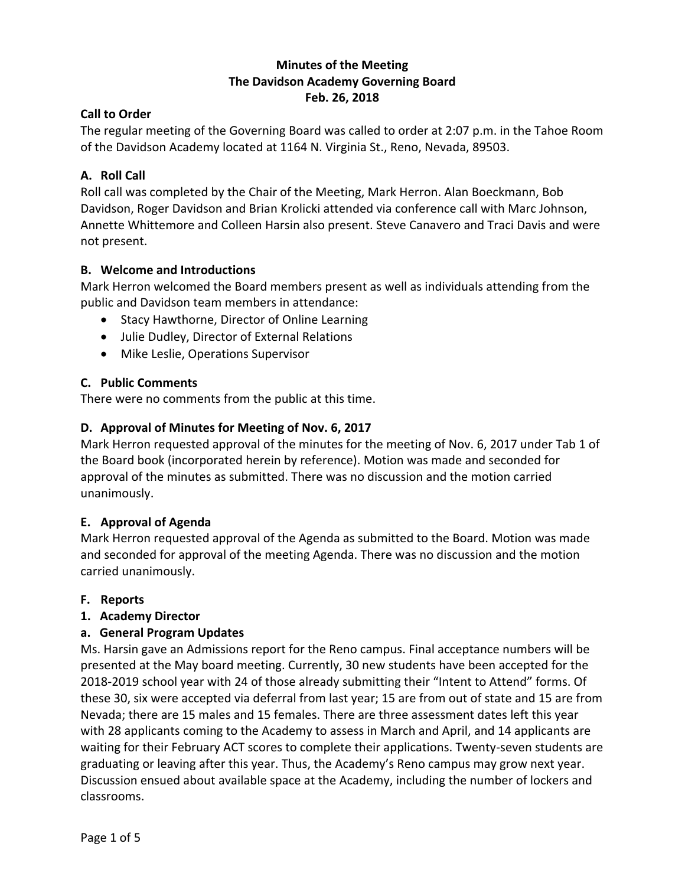# **Minutes of the Meeting The Davidson Academy Governing Board Feb. 26, 2018**

# **Call to Order**

The regular meeting of the Governing Board was called to order at 2:07 p.m. in the Tahoe Room of the Davidson Academy located at 1164 N. Virginia St., Reno, Nevada, 89503.

# **A. Roll Call**

Roll call was completed by the Chair of the Meeting, Mark Herron. Alan Boeckmann, Bob Davidson, Roger Davidson and Brian Krolicki attended via conference call with Marc Johnson, Annette Whittemore and Colleen Harsin also present. Steve Canavero and Traci Davis and were not present.

# **B. Welcome and Introductions**

Mark Herron welcomed the Board members present as well as individuals attending from the public and Davidson team members in attendance:

- Stacy Hawthorne, Director of Online Learning
- Julie Dudley, Director of External Relations
- Mike Leslie, Operations Supervisor

# **C. Public Comments**

There were no comments from the public at this time.

# **D. Approval of Minutes for Meeting of Nov. 6, 2017**

Mark Herron requested approval of the minutes for the meeting of Nov. 6, 2017 under Tab 1 of the Board book (incorporated herein by reference). Motion was made and seconded for approval of the minutes as submitted. There was no discussion and the motion carried unanimously.

# **E. Approval of Agenda**

Mark Herron requested approval of the Agenda as submitted to the Board. Motion was made and seconded for approval of the meeting Agenda. There was no discussion and the motion carried unanimously.

# **F. Reports**

# **1. Academy Director**

# **a. General Program Updates**

Ms. Harsin gave an Admissions report for the Reno campus. Final acceptance numbers will be presented at the May board meeting. Currently, 30 new students have been accepted for the 2018-2019 school year with 24 of those already submitting their "Intent to Attend" forms. Of these 30, six were accepted via deferral from last year; 15 are from out of state and 15 are from Nevada; there are 15 males and 15 females. There are three assessment dates left this year with 28 applicants coming to the Academy to assess in March and April, and 14 applicants are waiting for their February ACT scores to complete their applications. Twenty-seven students are graduating or leaving after this year. Thus, the Academy's Reno campus may grow next year. Discussion ensued about available space at the Academy, including the number of lockers and classrooms.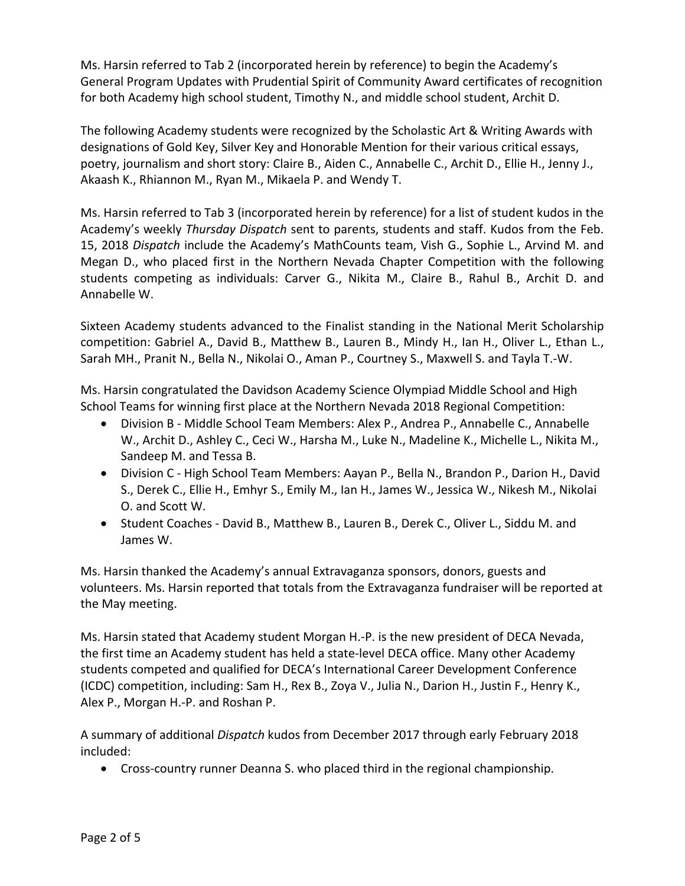Ms. Harsin referred to Tab 2 (incorporated herein by reference) to begin the Academy's General Program Updates with Prudential Spirit of Community Award certificates of recognition for both Academy high school student, Timothy N., and middle school student, Archit D.

The following Academy students were recognized by the Scholastic Art & Writing Awards with designations of Gold Key, Silver Key and Honorable Mention for their various critical essays, poetry, journalism and short story: Claire B., Aiden C., Annabelle C., Archit D., Ellie H., Jenny J., Akaash K., Rhiannon M., Ryan M., Mikaela P. and Wendy T.

Ms. Harsin referred to Tab 3 (incorporated herein by reference) for a list of student kudos in the Academy's weekly *Thursday Dispatch* sent to parents, students and staff. Kudos from the Feb. 15, 2018 *Dispatch* include the Academy's MathCounts team, Vish G., Sophie L., Arvind M. and Megan D., who placed first in the Northern Nevada Chapter Competition with the following students competing as individuals: Carver G., Nikita M., Claire B., Rahul B., Archit D. and Annabelle W.

Sixteen Academy students advanced to the Finalist standing in the National Merit Scholarship competition: Gabriel A., David B., Matthew B., Lauren B., Mindy H., Ian H., Oliver L., Ethan L., Sarah MH., Pranit N., Bella N., Nikolai O., Aman P., Courtney S., Maxwell S. and Tayla T.-W.

Ms. Harsin congratulated the Davidson Academy Science Olympiad Middle School and High School Teams for winning first place at the Northern Nevada 2018 Regional Competition:

- Division B Middle School Team Members: Alex P., Andrea P., Annabelle C., Annabelle W., Archit D., Ashley C., Ceci W., Harsha M., Luke N., Madeline K., Michelle L., Nikita M., Sandeep M. and Tessa B.
- Division C High School Team Members: Aayan P., Bella N., Brandon P., Darion H., David S., Derek C., Ellie H., Emhyr S., Emily M., Ian H., James W., Jessica W., Nikesh M., Nikolai O. and Scott W.
- Student Coaches David B., Matthew B., Lauren B., Derek C., Oliver L., Siddu M. and James W.

Ms. Harsin thanked the Academy's annual Extravaganza sponsors, donors, guests and volunteers. Ms. Harsin reported that totals from the Extravaganza fundraiser will be reported at the May meeting.

Ms. Harsin stated that Academy student Morgan H.-P. is the new president of DECA Nevada, the first time an Academy student has held a state-level DECA office. Many other Academy students competed and qualified for DECA's International Career Development Conference (ICDC) competition, including: Sam H., Rex B., Zoya V., Julia N., Darion H., Justin F., Henry K., Alex P., Morgan H.-P. and Roshan P.

A summary of additional *Dispatch* kudos from December 2017 through early February 2018 included:

Cross-country runner Deanna S. who placed third in the regional championship.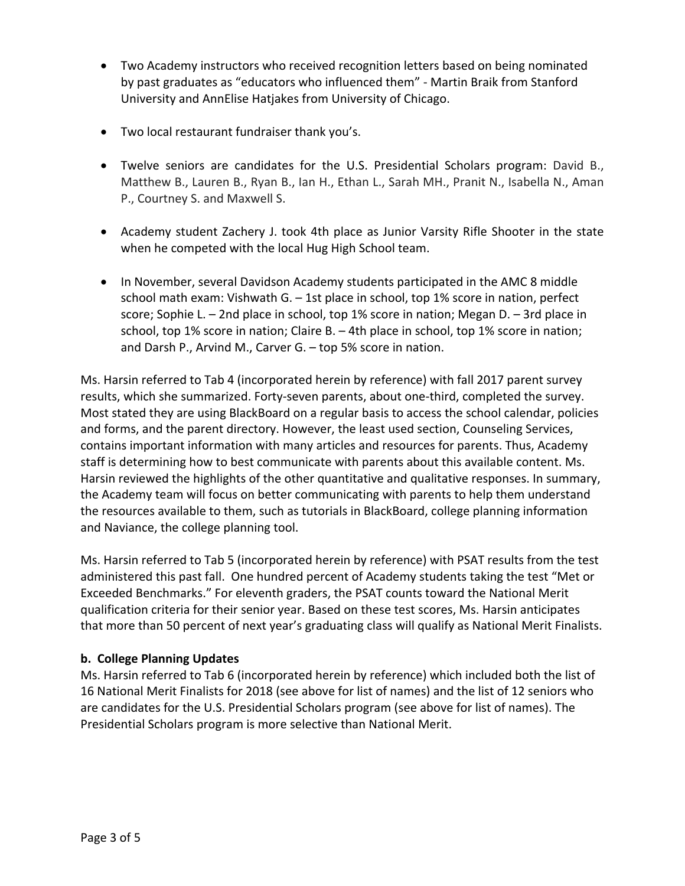- Two Academy instructors who received recognition letters based on being nominated by past graduates as "educators who influenced them" - Martin Braik from Stanford University and AnnElise Hatjakes from University of Chicago.
- Two local restaurant fundraiser thank you's.
- Twelve seniors are candidates for the U.S. Presidential Scholars program: David B., Matthew B., Lauren B., Ryan B., Ian H., Ethan L., Sarah MH., Pranit N., Isabella N., Aman P., Courtney S. and Maxwell S.
- Academy student Zachery J. took 4th place as Junior Varsity Rifle Shooter in the state when he competed with the local Hug High School team.
- In November, several Davidson Academy students participated in the AMC 8 middle school math exam: Vishwath G. – 1st place in school, top 1% score in nation, perfect score; Sophie L. – 2nd place in school, top 1% score in nation; Megan D. – 3rd place in school, top 1% score in nation; Claire B. – 4th place in school, top 1% score in nation; and Darsh P., Arvind M., Carver G. – top 5% score in nation.

Ms. Harsin referred to Tab 4 (incorporated herein by reference) with fall 2017 parent survey results, which she summarized. Forty-seven parents, about one-third, completed the survey. Most stated they are using BlackBoard on a regular basis to access the school calendar, policies and forms, and the parent directory. However, the least used section, Counseling Services, contains important information with many articles and resources for parents. Thus, Academy staff is determining how to best communicate with parents about this available content. Ms. Harsin reviewed the highlights of the other quantitative and qualitative responses. In summary, the Academy team will focus on better communicating with parents to help them understand the resources available to them, such as tutorials in BlackBoard, college planning information and Naviance, the college planning tool.

Ms. Harsin referred to Tab 5 (incorporated herein by reference) with PSAT results from the test administered this past fall. One hundred percent of Academy students taking the test "Met or Exceeded Benchmarks." For eleventh graders, the PSAT counts toward the National Merit qualification criteria for their senior year. Based on these test scores, Ms. Harsin anticipates that more than 50 percent of next year's graduating class will qualify as National Merit Finalists.

# **b. College Planning Updates**

Ms. Harsin referred to Tab 6 (incorporated herein by reference) which included both the list of 16 National Merit Finalists for 2018 (see above for list of names) and the list of 12 seniors who are candidates for the U.S. Presidential Scholars program (see above for list of names). The Presidential Scholars program is more selective than National Merit.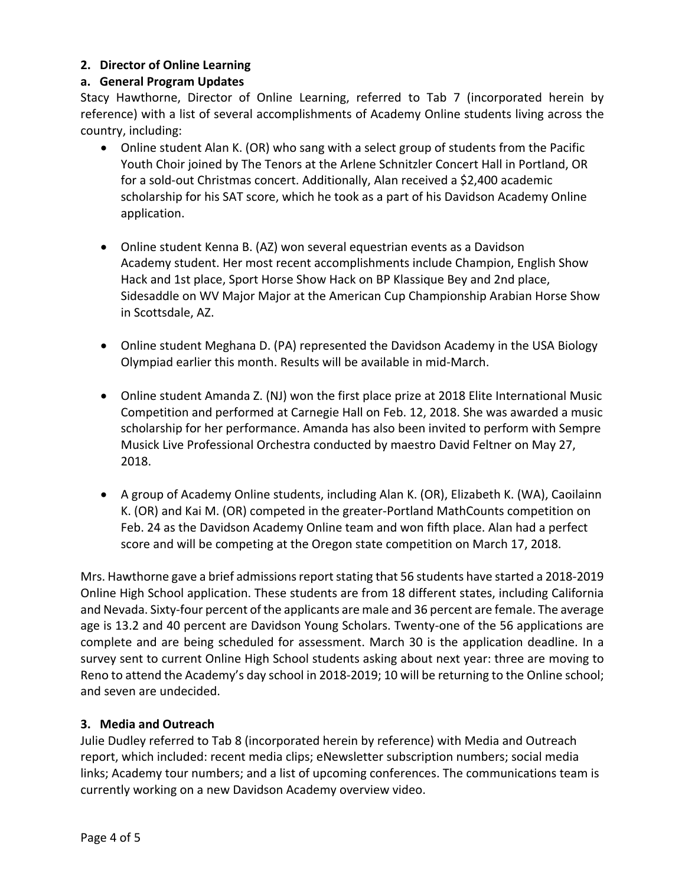#### **2. Director of Online Learning**

#### **a. General Program Updates**

Stacy Hawthorne, Director of Online Learning, referred to Tab 7 (incorporated herein by reference) with a list of several accomplishments of Academy Online students living across the country, including:

- Online student Alan K. (OR) who sang with a select group of students from the Pacific Youth Choir joined by The Tenors at the Arlene Schnitzler Concert Hall in Portland, OR for a sold-out Christmas concert. Additionally, Alan received a \$2,400 academic scholarship for his SAT score, which he took as a part of his Davidson Academy Online application.
- Online student Kenna B. (AZ) won several equestrian events as a Davidson Academy student. Her most recent accomplishments include Champion, English Show Hack and 1st place, Sport Horse Show Hack on BP Klassique Bey and 2nd place, Sidesaddle on WV Major Major at the American Cup Championship Arabian Horse Show in Scottsdale, AZ.
- Online student Meghana D. (PA) represented the Davidson Academy in the USA Biology Olympiad earlier this month. Results will be available in mid-March.
- Online student Amanda Z. (NJ) won the first place prize at 2018 Elite International Music Competition and performed at Carnegie Hall on Feb. 12, 2018. She was awarded a music scholarship for her performance. Amanda has also been invited to perform with Sempre Musick Live Professional Orchestra conducted by maestro David Feltner on May 27, 2018.
- A group of Academy Online students, including Alan K. (OR), Elizabeth K. (WA), Caoilainn K. (OR) and Kai M. (OR) competed in the greater-Portland MathCounts competition on Feb. 24 as the Davidson Academy Online team and won fifth place. Alan had a perfect score and will be competing at the Oregon state competition on March 17, 2018.

Mrs. Hawthorne gave a brief admissions report stating that 56 students have started a 2018-2019 Online High School application. These students are from 18 different states, including California and Nevada. Sixty-four percent of the applicants are male and 36 percent are female. The average age is 13.2 and 40 percent are Davidson Young Scholars. Twenty-one of the 56 applications are complete and are being scheduled for assessment. March 30 is the application deadline. In a survey sent to current Online High School students asking about next year: three are moving to Reno to attend the Academy's day school in 2018-2019; 10 will be returning to the Online school; and seven are undecided.

#### **3. Media and Outreach**

Julie Dudley referred to Tab 8 (incorporated herein by reference) with Media and Outreach report, which included: recent media clips; eNewsletter subscription numbers; social media links; Academy tour numbers; and a list of upcoming conferences. The communications team is currently working on a new Davidson Academy overview video.